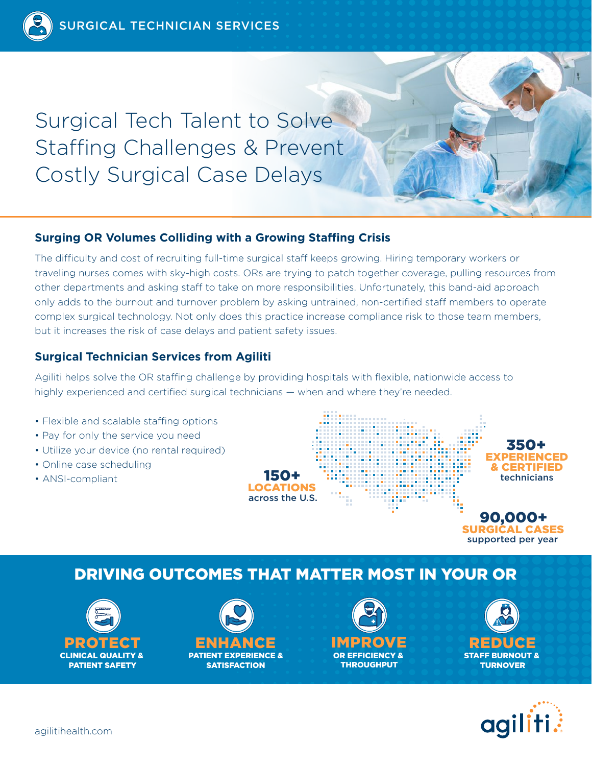Surgical Tech Talent to Solve Staffing Challenges & Prevent Costly Surgical Case Delays

## **Surging OR Volumes Colliding with a Growing Staffing Crisis**

The difficulty and cost of recruiting full-time surgical staff keeps growing. Hiring temporary workers or traveling nurses comes with sky-high costs. ORs are trying to patch together coverage, pulling resources from other departments and asking staff to take on more responsibilities. Unfortunately, this band-aid approach only adds to the burnout and turnover problem by asking untrained, non-certified staff members to operate complex surgical technology. Not only does this practice increase compliance risk to those team members, but it increases the risk of case delays and patient safety issues.

# **Surgical Technician Services from Agiliti**

Agiliti helps solve the OR staffing challenge by providing hospitals with flexible, nationwide access to highly experienced and certified surgical technicians — when and where they're needed.

- Flexible and scalable staffing options
- Pay for only the service you need
- Utilize your device (no rental required)
- Online case scheduling
- ANSI-compliant



# DRIVING OUTCOMES THAT MATTER MOST IN YOUR OR





PATIENT EXPERIENCE & **SATISFACTION** 





supported per year